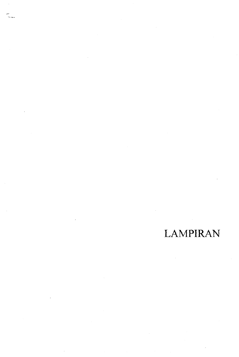# LAMPlRAN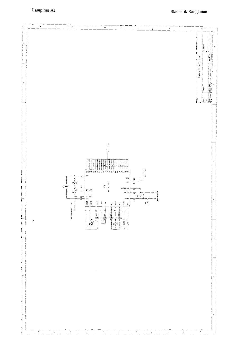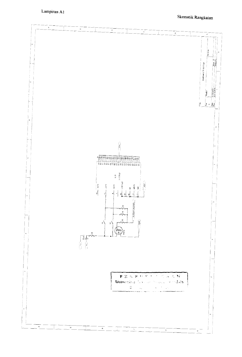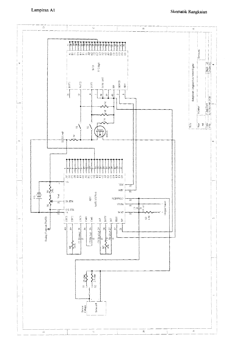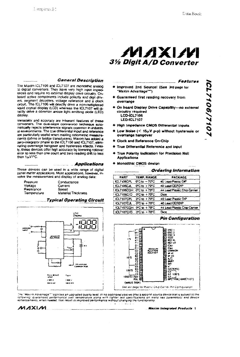# NAXM 3½ Digit A/D Converter

#### **General Description**

The Maxim ICL7106 and ICL7107 are monolithic analog to digital converters. They have very high input impedances and require no external display drive circuitry. Onboard active components include polarity and digit drivers, segment decoders, voltage reference and a clock circuit. The ICL7106 will directly drive a non-multiplexed liquid crystal display (LCD) whereas the ICL7107 will directly drive a common anone light emitting diede (LED) display

Versatility and accuracy are inherent features of these converters. The dual-slope conversion technique automatically rejects interference signals common in industrial environments. The true differential input and reference are particularly useful when making ratiometric measurements (ohms or bridge transducers). Maxim has added a zero-integretor phase to the ICL7106 and ICL7107, eliminating overrange hangover and hysteresis effects. Finally, these devices offer high accuracy by lowering rollover error to less than one count and zero reading drift to less than  $1\mu$ V/°C.

**Applications** 

These devices can be used in a wide range of digital panel meter applications. Most applications, however, involve the measurement and display of analog data:

| Pressure    | Conductance        |
|-------------|--------------------|
| Votage      | Current            |
| Resistance  | Soeed              |
| Temperature | Material Thickness |

### Typical Operating Circuit



Features

- Improved 2nd Source! (See 3rd page for "Maxim Advantage"")
- **Euaranteed first reading recovery from** overrange
- ◆ On board Display Drive Capability-no external circultry required LCD-ICL7106

**LED-ICL7107** 

- + High Impedance CMOS Differential Inputs
- Low Noise (<  $15\mu$ V p-p) without hysteresis or overrange hangover
- Clock and Reference On-Chip
- True Differential Reference and Input
- True Polarity Indication for Precision Null **Applications**
- **+ Monolithic CMOS design**

#### ...Ordering Information

| <b>PART</b>       | TENP. RANGE                      | <b>PACKAGE</b>               |
|-------------------|----------------------------------|------------------------------|
| ICL7106CPL        | $0^\circ$ C to $-70^\circ$ C     | 40 Leap Plastic DiP          |
| <b>ICL7106CJL</b> | 0°C to +70°C                     | 40 Lead CERDIP               |
| ICL7106CQH        | $0^\circ$ C to $+70^\circ$ C     | 44 Lead Plastic Chip Carrier |
| ICL7106C/D        | $0^{\circ}$ C to $+70^{\circ}$ C | Dice                         |
| ICL7107CPL        | $0^{\circ}$ C to $+70^{\circ}$ C | 40 Lead Plastic DiP          |
| <b>ICL7107CJL</b> | $0^\circ$ C to $+70^\circ$ C     | 40 Lead CERDIP               |
| <b>1CL7107COH</b> | $0^\circ$ C to $+70^\circ$ C     | 44 Lead Plastic Chip Carrier |
| ICL7107C/D        | 0°C to - 70°C                    | Dice                         |

#### **Pin Configuration**



.<br>The "Mexim Advantage"" signifies an upgraded quality lavel. At no additional cost we offer a spoond-source device that is subject to the<br>Tollowing: guaranteed, performance, over, temporature, along, with, lighter, tast, ennancements, when needed, that result in improved performance without changing the functionality.

 $\sim$ 

المستوسد

MAXIM.

Maxim Integrated Products 1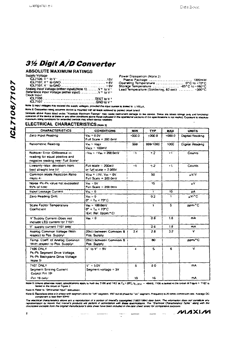**ABSOLUTE MAXIMUM RATINGS** 

Supply Voltage

| ICL7107. V= to GND  -9V                               |  |
|-------------------------------------------------------|--|
| Analog Input Voltage (either input)(Note 1)V + to V - |  |
| Reference Input Voltage (either input)  V+ to V+      |  |
| Clock Input                                           |  |
|                                                       |  |
| ICL7107 GND to V+                                     |  |

Power Dissipation (Note 2)

| 1.9777077071011111007212                     |  |
|----------------------------------------------|--|
|                                              |  |
|                                              |  |
| Storage Temperature  -65°C to ~160°C         |  |
| Lead Temperature (Soldering, 60 sec)  +300°C |  |

Note it input votages may exceed the supply vollages, provided the input current is limited to it 100 u.A.

Hote 2: Dissipation rating assumes device is mounted with all teace soldered to provisid crowl board.

Seases above those listed under "Absolute Maximum Ratings" may cause planners works, to the davide. These are stress ratings only and functional<br>coeration of the device at these or any other conditions above those indicate

### ELECTRICAL CHARACTERISTICS (Note 3)

| <b>CHARACTERISTICS</b>                                                                               | <b>CONDITIONS</b>                                                                       | <b>MIN</b> | TYP            | <b>MAX</b>       | UNITS           |
|------------------------------------------------------------------------------------------------------|-----------------------------------------------------------------------------------------|------------|----------------|------------------|-----------------|
| Zeto mput Reading                                                                                    | $V_{\text{H}a} = 0.0 V$<br>Full Scale = $200$ GmV                                       | $-000.0$   | $\pm 000.0$    | $+000.0$         | Digital Reading |
| Ratiometric Reading                                                                                  | $Var = V_{REF}$<br>Vass = 100mV                                                         | 999        | 999/1000       | 1000             | Digital Reading |
| Rollaver Error (Difference in<br>reading for equal positive and<br>negative reading near Full Scale! | $-V_{\text{IN}} = +V_{\text{AN}} = 200.0 \text{mV}$                                     | $-1$       | ±2             | ÷١               | Counts          |
| Lineanty Max deviation from<br>best straight line lit!                                               | Full scale = 200mV<br>or full scale = $2,000V$                                          | -1         | z <sub>2</sub> | $+1$             | <b>Counts</b>   |
| Common Mode Rejection Ratio<br>:Note 4                                                               | $VCM = 23V$ , $VIN = OV$ .<br>Full Scale = $200.0mV$                                    |            | 50             |                  | uV/V            |
| Noise (Pk-Pk value not exceeded<br>95% of time:                                                      | $V_{\text{IN}}$ + DV<br>Full Scale = 200.0mV                                            |            | 15             |                  | $\mathbf{v}$    |
| Input Leakage Current                                                                                | $V_N = 0$                                                                               |            | t.             | 10               | pΑ              |
| Zero Reading Drift                                                                                   | $Var = 0$<br>$0''$ < $T_A$ < $70^{\circ}$ C                                             |            | 0.2            | ١                | uV/°C           |
| Scale Factor Temperature<br>Coefficient                                                              | $V_{\text{IM}} = 199.0$ mV<br>$0^{\circ}$ < $7.4 < 70^{\circ}$ C<br>(Ext. Ref. Oppm/°C) |            | ¥.             | 5                | apm≞C           |
| V"Supply Current (Does not<br>include LED current for 7107).                                         | $V_{\text{BM}} = 0$                                                                     |            | aз             | 1.8              | mA.             |
| V" supply current 7107 only                                                                          |                                                                                         |            | อธ             | 1.8              | <b>MA</b>       |
| Analog Common Voltage (With<br>respect to Pos. Supply!                                               | 25k!! between Common &<br>Pos. Supply                                                   | 2.4        | 2.8            | 3.2 <sub>2</sub> | v               |
| Temp, Coeff, of Analog Common<br>EWith respect to Pos. Supply!                                       | 25kit between Common &<br>Pos. Supply                                                   |            | 80             |                  | pom/*C          |
| 7106 ONLY<br>Pk-Pk Segment Drive Voltage,<br>Pk-Pk Backplane Drive Voltage<br>:Note 5:               | V to $V = 9V$                                                                           | 4          | S.             | 6                | v               |
| 7107 ONLY<br><b>Seament Sinking Current</b><br>:Except Pin 19)                                       | $V = 5.0V$<br>Segment voltage = 3V                                                      | 5          | 60             |                  | <b>MA</b>       |
| :Pin 19 anly!                                                                                        |                                                                                         | 10         | 16             |                  | mA              |

Hote 3: Unless otherwise noted, spoodications apply to hoth the 7106 and 7107 at TAT 29C, to cock - 484Hz. 7106 is tasted in the critial of Figure 1 7107 is

Note 4: Reter to "Differential Input" direcursion.

 $\overline{\mathbf{z}}$ 

 $\mathcal{L}_{\mathcal{A}}$ 

Note \$: Backblane drive is in onese with segment drive for "oft" segment, 190" out of phase for "on" aegment. Prequency is 20 times conversion rate. Average DC component is less then 50mV

The electrical characteristics above are a reproduction of a portion of intensi<sup>n</sup>s copyrighted (1983/1984) data book. This information does not constitute any<br>representation by Maxim that Hierari's products will perform i

**Support Community** 

 $\label{eq:1} \frac{1}{\sqrt{2\pi}}\int_{0}^{\frac{1}{2}}\frac{d\mu}{\lambda_{\mu}}\frac{d\mu}{\lambda_{\mu}}\frac{d\mu}{\lambda_{\mu}}\frac{d\mu}{\lambda_{\mu}}\frac{d\mu}{\lambda_{\mu}}\frac{d\mu}{\lambda_{\mu}}\frac{d\mu}{\lambda_{\mu}}\frac{d\mu}{\lambda_{\mu}}\frac{d\mu}{\lambda_{\mu}}\frac{d\mu}{\lambda_{\mu}}\frac{d\mu}{\lambda_{\mu}}\frac{d\mu}{\lambda_{\mu}}\frac{d\mu}{\lambda_{\mu}}\frac{d\mu}{\lambda_{\mu}}\frac{d\mu$ 

 $\mathcal{M}$   $\mathcal{N}$   $\mathcal{N}$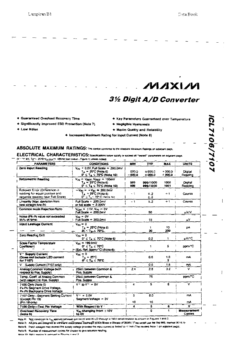Ł

NIXINI

# 3½ Digit A/D Converter

**+ Guaranteed Overload Recovery Time** 

- + Significantly improved ESD Protection (Note 7)
- \* Key Parameters Guaranteed over Temperature
- Negligible Hysteresis

- + Low Noise
- + Increased Maximum Rating for Input Current (Note 8)

## ABSOLUTE MAXIMUM FIATINGS: This device contorms to the Abactule Maximum Flatings on adjacent pace.

| ABSOLUTE MAXIMUM FIATINGS: This device contorne to the Absolute Maximum Ratings on adjacent pace.    | + Increased Maximum Rating for Input Current (Note 8)                                                                             |             | <b>+ Maxim Quality and Reliability</b> |                        |                              |
|------------------------------------------------------------------------------------------------------|-----------------------------------------------------------------------------------------------------------------------------------|-------------|----------------------------------------|------------------------|------------------------------|
|                                                                                                      |                                                                                                                                   |             |                                        |                        |                              |
|                                                                                                      |                                                                                                                                   |             |                                        |                        |                              |
|                                                                                                      |                                                                                                                                   |             |                                        |                        |                              |
|                                                                                                      |                                                                                                                                   |             |                                        |                        |                              |
| T SV, TI - 2010 TO DOOK ABRAHE LOST DIRENT - Figure 1; unless noted)                                 | ELECTRICAL CHARACTERISTICS: Scecifications below salisty or exceed at "wated" parameters on adjacent page.                        |             |                                        |                        |                              |
| <b>PARAMETERS</b>                                                                                    | CONDITIONS                                                                                                                        | <b>MIN</b>  | TYP.                                   | MAX                    | <b>UNITS</b>                 |
| Zero Input Reading                                                                                   | $V_{IM}$ = 0.0V, Full Scale = 200.0mV<br>TA = 25°C (Note 5)<br>$0^{\circ} \leq T_A \leq 70^{\circ}$ C (Note 10)                   | ೲೲ<br>000.0 | ±000.0<br>±000.0                       | $-0.000 +$<br>$+000.0$ | Dicital<br>Readino           |
| <b>Ratiometric Reading</b>                                                                           | $V_{IN} = V_{REF}$ , $V_{REF} = 100 \text{mV}$<br>$T_A = 25^{\circ}C(Noto 6)$<br>$0^{\circ} \leq T_A \leq 70^{\circ}$ C (Note 10) | 999<br>996  | 999/1000<br>999/1000                   | 1000<br>1001           | Dioitei<br>Reading           |
| Rollover Error (Difference in<br>reading for equal positive and<br>negative reading near Full Scale) | $-V_{\text{IN}} = +V_{\text{IN}} = 200.0$ mV<br>TA = 25°C (Note 6)<br>$0'' \leq T_{\rm A} \leq 70^{\circ}$ C (Note 30)            | 47          | ±.2<br>2. ±                            | ÷t                     | Counts                       |
| Linearity (Max. deviation from<br>best straight line fit)                                            | Full Scale = 200.0mV<br>or full scale $-2.000V$                                                                                   | $-1$        | $\pm .2$                               | $+$ !                  | Counts                       |
| Common Mode Rejection Ratio                                                                          | $V_{CM} = \pm 1V$ , $V_{IN} = 0V$<br>$Full Scale = 200.0mV$                                                                       |             | 50                                     |                        | uVIV                         |
| Noise (Pk-Pk value not exceeded<br>195% Of Jine)                                                     | $V_{IN} = 0V$<br>Full Scale = 200.0mV                                                                                             |             | 15                                     |                        | u۷                           |
| Input Leakage Current                                                                                | $V_{1N} = 0$<br>$T_A = 25^{\circ}C$ (Note 6)<br>ድ ናገሬ≤ 70℃                                                                        |             | $\mathbf{I}$<br>20                     | 10<br>200              | рA                           |
| Zero Reading Drift                                                                                   | $V_{IN} = 0$<br>$0^{\circ} \leq T_A \leq 70^{\circ}$ C (Note 6)                                                                   |             | 0.2                                    | 1                      | uVMC                         |
| <b>Scale Factor Temperature</b><br>Coefficient                                                       | $V_{IN}$ = 199.0mV<br>$0^{\circ} \leq T_A \leq 70^{\circ}C$<br>(Ext. Ref. 0ppm/°C) (Note 6)                                       |             | 1                                      | 5                      | ppm/°C                       |
| V <sup>-</sup> Supply Current<br>(Does not include LED current<br>for 7107)                          | $V_{IN} = 0$<br>T <sub>A</sub> = 25°C<br>$0^\circ \leq T_A \leq 70^\circ C$                                                       |             | 0.6                                    | 1.6<br>2               | mА                           |
| V Supply Current (7107 only)                                                                         |                                                                                                                                   |             | Ű.Ĝ                                    | 1.8                    | mA                           |
| Analog Common Voltage (with<br>respect to Pos. Supply)                                               | 25kf) between Common &<br>Pos. Supply                                                                                             | 2.4         | 2.8                                    | 3.2                    | ν                            |
| Temp, Coeff, of Analog Common<br>(with respect to Pos. Supply)                                       | 25kll between Common &<br>Pos. Supply                                                                                             |             | 75                                     |                        | ppm/"C                       |
| 7106 Only (Note 5)<br>Fix-Pk Segment Drive Voltage,<br>Pk-Pk Backplane Drive Voltage                 | $V^+$ to $V^-$ = 9V                                                                                                               | 4           | 5                                      | 6                      | v                            |
| 7107 Only-Segment Sinking Current<br>(Except Pin 19)<br>(Pin 18 only)                                | $V = 5.0V$<br>Segment Voltage = 3V                                                                                                | S<br>10     | 8.0<br>16                              |                        | mA<br>mA                     |
| 7106 Only-Test Pin Voltage                                                                           | With Respect to V.                                                                                                                | 4           | 5                                      | 6                      |                              |
| <b>Overload Recovery Time</b>                                                                        | V <sub>ihi</sub> changing from ± 10V<br>ta OV                                                                                     |             | ٥                                      | 1                      | Measurement<br><b>Cycles</b> |

Note 8: Test condition is Visi applied permisen pin IH-HI and IN-LO through a 1M11 series resistor as shown in Figures 1 and 2.

Note 7: All pins are dasigned to witheliand electrostatic discharge (ESD) levels in excess of 2000V, Thes cargot per Mit Std 889, Method 3015.11-

Hote 8: Inout voilages may incred the supply voitage provided the input current is firtled to if time. This revises Note 1 on adjacent pago).

Note 9: Humber of measurement cycles for display to give accurate reading.

Note the IMI3 resisted is consuled in Finance 1 and 2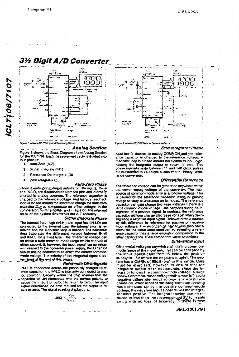



### **Analog Section**

Figure 3 shows the Block Diagram of the Analog Section for the ICL7136. Each measurement cycle is divided into four phases:

- 1. Auto-Zero (A-Z)
- $2<sup>1</sup>$ Signal Integrate (INT)
- $3<sub>1</sub>$ Reference De-Integrate (DI)
- Zero Integrator (ZI)  $\blacktriangle$

#### Auto-Zero Phase

Three events occur during auto-zero. The inputs, IN-HI and IN-LO, are disconnected from the pins and internally<br>shorted to analog common. The reference capacitor is charged to the reference voltage. And lastly, a feedback loop is closed around the system to charge the auto-zero capacitor CAZ to compensate for offset voltages in the comparator, buffer amplifier and integrator. The inherent noise of the system determines the A-Z accuracy.

#### Signal Integrate Phase

The internal input high (IN-HI) and input low (IN-LO) are connected to the external pins, the internal short is removed and the auto-zero toop is opened. The converter then integrates the differential voltage between IN-HI and IN-LO for a fixed time. This differential voltage can be within a wide common-mode range (within one volt of either supply). If, however, the input signal has no return with respect to the converter power supply, IN-LO can be tied to analog common to establish the correct commonmode voltage. The polarity of the integrated signal is determined at the end of this phase.

#### Reference Dé-Integrate

IN-HI is connected across the previously charged reference capacitor and IN-LO is internally connected to analog common. Circuitry within the chip ensures that the capacitor will be connected with the correct polarity to cause the integrator output to return to zero. The input signal determines the time required for the output to return to zero. The digital reading displayed is:

$$
1000 \times \frac{V_{IN}}{V_{REF}} = -
$$



#### Zero Integrator Phase

lopul low is shorted to analog COMMON and the refer-<br>ence capacitor is charged to the reference voltage. A feedback loop is closed around the system to input high, causing the integrator output to return to zero. This<br>phase normally lests between 11 and 140 clock pulses but is extended to 740 clock pulses after a "heavy" overrange conversion.

#### **Differential Reference**

The reference voltage can be generated anywhere within the power supply voltage of the converter. The main source of common-mode error is a rollover voltage. This is caused by the reference capacitor losing or gaining charge to stray capacitance on its nodes. The reference capacitor can gain charge (increase voltage) if there is a large common-mode voltage. This happens during de-integration of a positive signal. In contrast, the reference capacitor will lose charge (decrease voltage) when de-integrating a negative input signal. Rollover error is caused by this difference in reterence for positive or negative input voltages. This error can be held to less than half a count for the worst-case condition by selecting a reference capacitor that is large enough in comparison to the stray capacitance. (See component value selection.)

#### Differential Input

Differential voltages anywhere within the commonmode range of the input amplifer can be accepted by the input (specifically from 1V below the positive supply to 1.5V above the negative supply). The system has a CMRR of 86dB (typ) in this range. Care must be exercised, however, to ensure that the integrator output does not saturate, since the integrator follows the common-mode voltage. A large positive common-mode voltage with a near full-scale negative differential input voltage is a worst-case condition. When most of the integrator output swing has been used up by the positive common-mode voltage, the negative input signal drives the integrafor more positive. The integrator swing can be re-<br>duced to less than the recommended 2V full-scale swing with no loss of accuracy in these critical

ルハメレル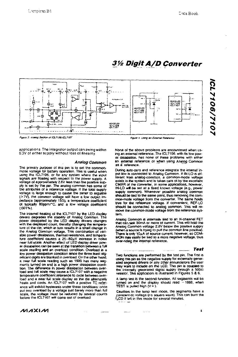

Figure 3: Analog Secret of ICL7106/ICL7107

applications. The integrator output can swing within 0.3V of either supply without loss of linearity.

### Analog Common

The primary purpose of this pin is to set the commonmode voltage for battery operation. This is useful when<br>using the ICL7106, or for any system where the input signals are floating with respect to the power supply. A voltage of approximately 2.8V less than the positive supply is set by this pin. The analog common has some of the attributes of a reference voltage. If the total supply voltage is large enough to cause the zener to regulate (>7V), the common voltage will have a low output impedance (approximately 15 $\Omega$ ), a temperature coefficient of typically 80ppm/°C, and a low voltage coefficient  $(.001%).$ 

The internal heating of the ICL7107 by the LED display crivers degrades the stability of Analog Common. The<br>power dissipated by the LED display drivers changes with the displayed count, thereby changing the temperature of the die, which in turn results in a small change in the Analog Common voltage. This combination of variable power dissipation, thermal resistance, and temperatire coefficient causes a 25-80uV increase in noise<br>near full scale. Another effect of LED display driver power dissipation can be seen at the transition between a full scale reading and an overload condition. Overload is a low power dissipation condition since the three least sigmilicant digits are blanked in overload. On the other hand. a near full scale reading such as 1999 has many segments turned on and is a high power dissipation condition. The difference in power dissipation between overload and full scale may cause a ICL7107 with a negative temperature coefficient reterence to cycle between overload and a near full scale display as the die alternately heats and cools. An ICL7107 with a positive TC referance will exhibit hysteresis under these conditions; once put into overload by a voltage just barely more than full scale, the voltage must be reduced by several counts before the ICL7107 will come out of overload.

Figure 4. Using an External Relationship

None of the above problems are encountered when using an external reference. The ICL7106, with its low powex dissipation, has none of these problems with either<br>an external reference or when using Analog Common as a reference.

During auto-zero and reference integrate the internal input low is connected to Analog Common. If IN-LO is different from analog-common, a common-mode voltage exists in the system and is taken care of by the excellent CMRR of the converter, in some applications, however, IN-LO will be set at a fixed known voltage (e.g., power supply common). Whenever possible analog common should be fied to the same point, thus removing the common-mode voltage from the converter. The same holds true for the reference voltage. If convenient, REF-LO should be connected to analog common. This will remove the common-mode voltage from the reference system.

Analog Common is internally tied to an N-channel FET that car, sink 30mA or more of current. This will hold the Analog Common voltage 2.8V below the positive supply (when a source is trying to pull the common line positive). There is only 10µA of source current, however, so COM-MON may easily be fied to a more negative voltage, thus over-riding the internal reference.

Tast

1012106/7107

Two functions are performed by the test pin. The first is using this pin as the negative supply for externally generated segment drivers or any other annunciators the user may want to include on the LCD. This pin is coupled to the internally generated digital supply through a 50011 resistor. This application is illustrated in Figures 5 & 6.

. ....... .**................** 

and no line

A lamp test is the second function. All segments will be turned on and the display should read -1888, when TEST is pulled high  $N+1$ .

Caution: In the lamp test mode, the segments have a constant de voltage (no square wave). This can burn the LCD if let in this mode for several minutes.

NIJIXIVI

 $\epsilon$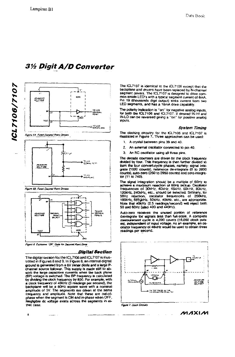

TEST T Figure 6. Excitisive "OR" Gale for Decimal Paint Done

### *Digital Section*

The digital section for the ICL7106 and ICL7107 is itlustrated in Figures 8 and 9. In Figure 8, an internal digital ground is generated from a 6V zener diode and a large Pchannel source tollower. This supply is made stiff to absorb the large capacitive currents when the back plane (BP) voltage is switched. The BP frequency is calculated by dividing the clock frequency by 800. For example, with a clock frequency of 48kHz (3 readings per second), the backplane will be a 60Hz square wave with a nominal amplitude of 5V. The segments are driven at the same frequency and amplitude. Note that these are out-ofphase when the segment is ON and in-phase when OFF. Negligible dc voltage exists across the segments in either case.

**Summer 1** 

6

The ICL7107 is identical to the ICL7106 except that the backplane and drivers have been replaced by N-channel segment privers. The ICL7107 is designed to drive common anode LED's with a typical segment current of 8mA. Pin 19 (thousands digit output) sinks current from two LED segments, and has a 16mA drive capability.

The polarity indication is "on" for negative analog inputs,<br>for both the fCL7106 and fCl,7107. If desired IN-HI and IN-LO can be reversed giving a "on" for positive analog inouts.

#### **System Timing**

The clocking circuitry for the ICL7106 and ICL7107 is illustrated in Figure 7. Three approaches can be used:

- 1. A crystal between pins 39 and 40.
- 2. An external oscillator connected to pin 40.
- $\mathbf{R}$ An RC oscillator using all three pins,

The decade counters are driven by the clock frequency divided by four. This frequency is then further divided to form the four convert-cycle phases, namely; signal integrate (1000 counts), reference de-integrate (0 to 2000 counts), auto-zero (260 to 2989 counts) and zero integrator (11 to 740).

The signal integration should be a multiple of 60Hz to achieve a maximum rejection of 60Hz pickup. Oscillator frequencies of 30kHz, 40kHz, 48kHz, 60kHz, 80kHz, 120kHz, 240kHz, etc., should be selected. Similarly, for 50Hz rejection, oscillator frequencies of 200kHz, Figure 1906. Solution of the state of the state of the state of the state of the state of the state of the state of the state of the state of the state of the state of the state of the state of the state of the state of th 50 and 60Hz (also 400 and 440Hz).

Auto-zero receives the unused portion of reference deintegrate for signals less than full-scale. A complete measurement cycle is 4,000 counts (16,000 clock pulses), independent of input voltage. As an example, an os-<br>cilator (requency of 48kHz would be used to obtain three readings per second.



Figure 7. Circl Circuits

MAXIM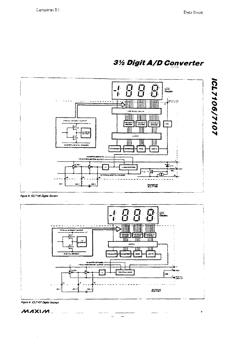7

# 3½ Digit A/D Converter



.<br>Figure 8, ICL7106 Digital Section



 $\equiv$ 



MAXIM.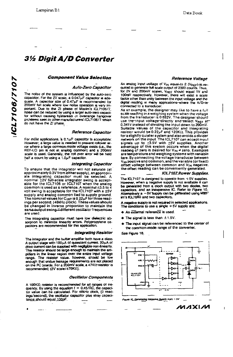#### **Component Value Selection**

### Auto-Zero Capacitor

The noise of the system is influenced by the auto-zero. capacitor. For the 2V scale, a 0.047µF capacitor is adequate. A capacitor size of 0.47µF is recommended for 200mV full scale where low noise operation is very im-<br>portant. Due to the ZI phase of Maxim's ICL7106/7, noise can be reduced by using a larger auto-zero capacitor without causing hysteresis or overrange hangover problems seen in other-manufacturers' ICL710677 which do not have the ZI phase.

#### Reference Capacitor

For most applications, a 0.1µF capacitor is acceptable: However, a large value is needed to prevent rollover error where a large common-mode voltage exists (i.e., the REF-LO pin is not at analog common) and a 200mV scale is used. Generally, the roll over error will be held half a count by using a 1.0µF capacitor.

#### Integrating Capacitor

To ensure that the integrator will not saturate (at approximately 0.3V from either supply), an appropriabut integrating capacitor must be selected. A<br>nominal ±2V full-scale integrator swing is acceptnotine and the ICL7106 or ICL7107 when the analog<br>common is used as a reference. A nominal ±3.5 to 4<br>volt swing is acceptable for the ICL7107 with a ±5V supply and analog common tied to supply ground. The nominal values for  $C_{\text{INT}}$  is 0.22 $\mu$ F for three readings per second. (48kHz clock). These values should be changed in inverse proportion to maintain the same output swing if different oscillator frequencies are used.

The integrating capacitor must have low dielectric absorption to minimize linearity errors. Polypropylene ca-<br>pacitors are recommended for this application.

#### Integrating Resistor

The integrator and the buffer amplifier both have a class A output stage with 100µA of quiescent current. 20µA of drive current can be supplied with negligible non-linearity. This resistor should be large enough to maintain the amplifiers in the linear region over the entire input voltage range. The resistor value, however, should be low enough that undue leakage requirements are not placed on the PC boards. For a 200mV scale, a 47K11 resistor is recommended; (2V scale/470KΩ).

#### **Osciliator Components**

A 100KΩ resistor is recommended for all ranges of trequency. By using the equation  $f = 0.45/RC$ , the capacitor value can be calculated. For 48kHz clock, (3 readings/second), the oscillator capacitor plus stray capacitance should equal 100pF.

#### Reference Voltage

An analog input veltage of V<sub>IN</sub> equal to 2 (VREF) is required to generate full scale output of 2000 counts. Thus, for ZV and 200mV scales, VREF should equal 1V and 100mV respectively. However, there will exist a scale factor other than unity between the input voltage and the digital reading in many acolications where the  $A/B$  is connected to a transducer.

As an example, the designer may like to have a full scale reading in a weighting system when the voltage<br>from the transducer is 0.682V. The designer should use the input voltage directly and select VREF at 0.341V instead of dividing the input down to 200mV. Suitable values of the capacitor and Integrating<br>resistor would be 0.22µF and 120K1). This provides for a slightly quieter system and also avoids a divider<br>network on the input. The ICL7107 can accept input signals up to ±3.5V with ±5V supplies. Another advantage of this system occurs when the digital reading of zero is desired for  $V_{1N} \neq$  zero. Examples are temperature and weighing systems with variable tare. By connecting the voltage transducer between V<sub>IN</sub> positive and common, and the variable (or fixed) offset voltage between common and VIN negative. the offset reading can be conveniently generated.

#### **ICL7107 Power Supplies**

**NVIXIVN** 

The ICL7107 is designed to operate from  $\pm$  5V supplies. However, when a negative supply is not available it can be generated from a clock output with two diodes, two capecitors, and an inexpensive IC. Refer to Figure 10.<br>Alternatively a -5V supply can be gerierated using Maxim's KJ 7660 and two capacitors.

A negative supply is not required in selected applications. The conditions to use a single  $+5V$  supply are:

- An external reference is used.
- The signal is less than  $\pm$ 1.5V.
- The input signal can be referenced to the center of the common-mode range of the converter.

See Figure 18.



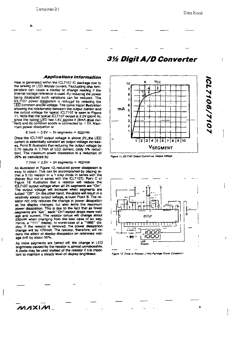1017106/7107

## 3½ Digit A/D Converter

#### **Applications Information**

Heat is generated within the ICL7107 IC package due to the sinking of LED display current. Fluctuating chip temperature can cause a disolay to change reading if the internal voltage reference is used. By reducing the power being dissipated such variations can be reduced. The ICL7107 power dissipation is reduced by reducing the LED common anode voltage. The curve tracer ibustration showing the relationship between the output current and the output voltage for typical ICL7107 is seen in Figure the output voltage for typical lock for the seatt is trigged<br>11. Note that the typical ICL7107 output is 3.2V (point A),<br>since the typical LED has 1.8V across it (8mA gives current) and its common ancde is connected to  $\pm$  SV. Maximum power dissipation is:

8.1mA  $\times$  3.2V  $\times$  24 segments = 622mW

Once the ICL7107 output voltage is above 2V\_the LED current is essentially constant as output voltage increases. Point B illustrates that reducing the output voltage by 0.7V results in 7.7mA of LED current, (only 5% reduction). The maximum power dissipation is a reduction of 26% as calculated by:

#### 7.7mA  $\times$  2.5V  $\times$  24 segments = 462mW

As illustrated in Figure 12, reduced power dissipation is easy to obtain. This can be accomplished by placing either a 5.11) resistor or a 1 amp diode in series with the display (but not in series with the ICL7107). Point C of Figure 18 illustrates that a resistor will reduce the ICL7107 output voltage when all 24 segments are "On" The output voitage will increase when segments are turned "Off". On the other hand, the diode will result in a relatively steady output voltage, around Point B. The resistor not only reduces the change in power dissipation<br>as the display changes, but also limits the maximum power dissipation. This is due to the fact that as fewer<br>segments are "Cin", each "On"-eutput drops more voltage and current. The resistor circuit will change about age when changing from the best case of six seg-<br>ments, a "111" display, to worst-case of a "1588" display. If the resistor is removed, the power dissipation change will be 470mW. The resistor, therefore, will reduce the effect of display dissipation on reference voltage drift by about 50%.

As more segments are turned off, the change in LED prightness caused by the resistor is almost unnoticeable. A diode may be used instead of the resistor if it is important to maintain a steady level of display brightness.



Figure 11, ICL 7107 Output Current vs. Output Voltage



.<br>Figure 12: Dode or Resistor Limits Package Power Dissipation

**ULAIXIAN** 

 $\mathbf{1}$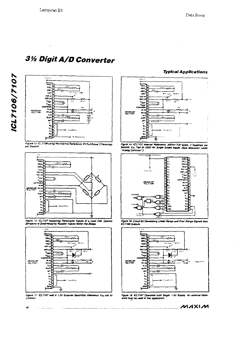

Figure 13 ICL7106 using the Internal Reference, 2V Full Scale: 3 Readings



Figure 15 ICL7107 Massuring Ratiometric Values of a Load Cell, Desired<br>Sensitivity is Determined by Resistor Values Within the Bridge.



Figure 17, ICL7107 with a 1,2V Exisinal Band-Gap Relixence V<sub>itt</sub> ped to<br>common:

. . . . . . . . .

### **Typical Applications**



Egure 14, ICL7107 Internat Reference, 200mV Full Scele, 3 Readings par<br>Second, Vw Tred to GND for Single Ended Inputs, (See discussion under<br>"Anatog Common")



Figure 18. Circuit for De woing Under Range and Over Renge Signals Bors



anternal Rold Figure 18. ICL7107 Operated Nom Single +5V Supply. An ence must be used in this application.

MAXIM

 $10$ 

**ICL7106/7107**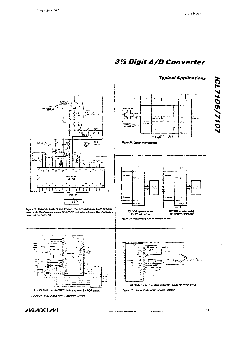

ルレハメレル

 $11$ 

 $\mathcal{L}_{\text{max}}$ 

 $\cdots$ 

لمستدر

u.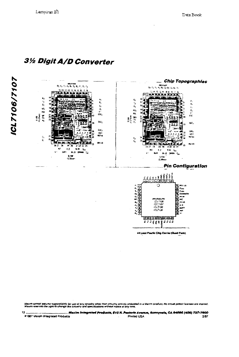3½ Digit A/D Converter







44 Lead Pinctic Chip Carrier (Quad Pack)

Maxim cannol assume responsibility for use of any circuitry other than circuitry emilisly embod<br>Maxim reserves the right to change the circuitry and specifications without notice at any time. bodied in a Maxim product, No circuit patent licenses era impired.

. Mexim integrated Products, 510 N. Pastoria Avenue, Sunnyvsie, CA 94006 (408) 737-7000  $12$ #1987 Maxim Integrated Products Printed USA  $2/37$